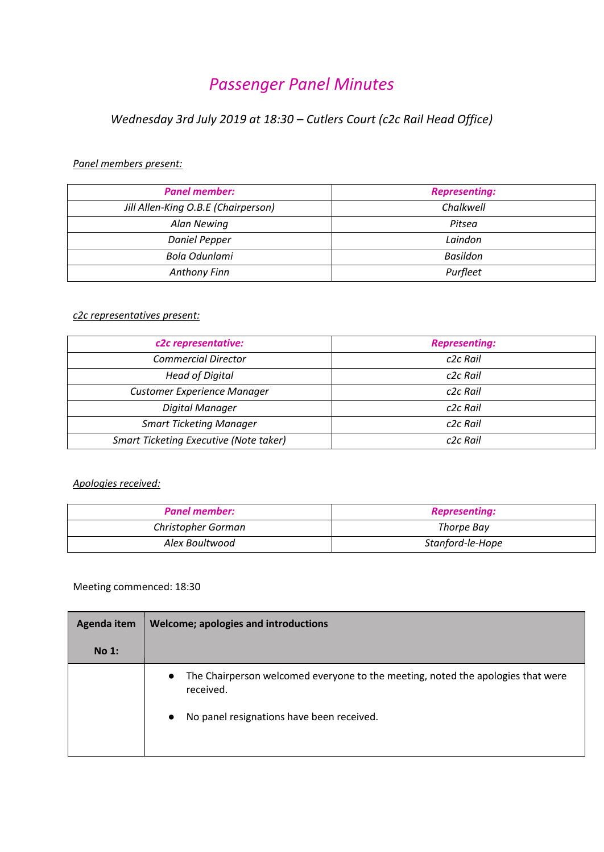# *Passenger Panel Minutes*

# *Wednesday 3rd July 2019 at 18:30 – Cutlers Court (c2c Rail Head Office)*

## *Panel members present:*

| <b>Panel member:</b>                | <b>Representing:</b> |
|-------------------------------------|----------------------|
| Jill Allen-King O.B.E (Chairperson) | Chalkwell            |
| Alan Newing                         | Pitsea               |
| <b>Daniel Pepper</b>                | Laindon              |
| Bola Odunlami                       | Basildon             |
| Anthony Finn                        | Purfleet             |

## *c2c representatives present:*

| c2c representative:                           | <b>Representing:</b> |
|-----------------------------------------------|----------------------|
| <b>Commercial Director</b>                    | c <sub>2c</sub> Rail |
| <b>Head of Digital</b>                        | c <sub>2c</sub> Rail |
| <b>Customer Experience Manager</b>            | c <sub>2c</sub> Rail |
| Digital Manager                               | c <sub>2c</sub> Rail |
| <b>Smart Ticketing Manager</b>                | c <sub>2c</sub> Rail |
| <b>Smart Ticketing Executive (Note taker)</b> | c <sub>2c</sub> Rail |

## *Apologies received:*

| <b>Panel member:</b> | <b>Representing:</b> |
|----------------------|----------------------|
| Christopher Gorman   | Thorpe Bay           |
| Alex Boultwood       | Stanford-le-Hope     |

## Meeting commenced: 18:30

| Agenda item | Welcome; apologies and introductions                                                                                                                                |
|-------------|---------------------------------------------------------------------------------------------------------------------------------------------------------------------|
| No 1:       |                                                                                                                                                                     |
|             | The Chairperson welcomed everyone to the meeting, noted the apologies that were<br>$\bullet$<br>received.<br>No panel resignations have been received.<br>$\bullet$ |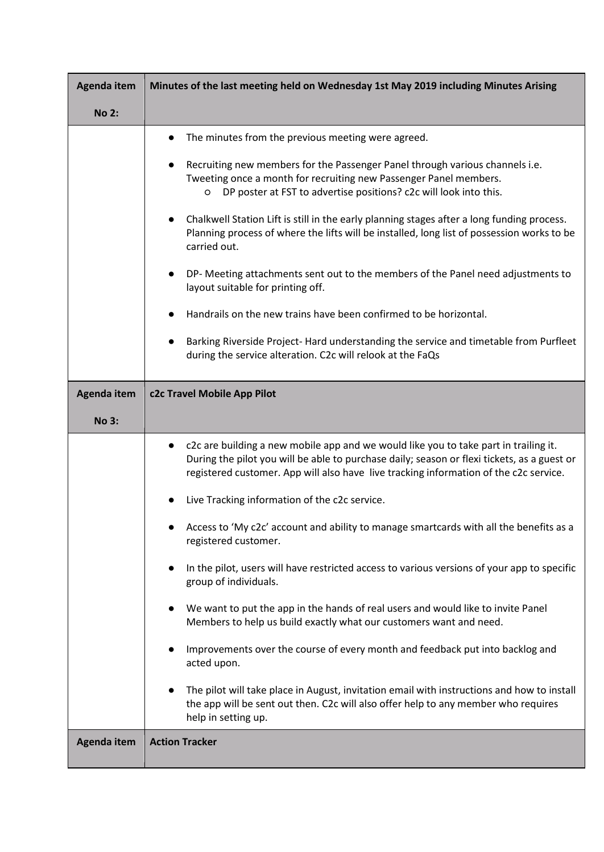| Agenda item  | Minutes of the last meeting held on Wednesday 1st May 2019 including Minutes Arising                                                                                                                                                                                                                                                                                                                                                                                                                                                                                                                                                                                                                                                                                                                                                                                                                                                                                                                                                         |
|--------------|----------------------------------------------------------------------------------------------------------------------------------------------------------------------------------------------------------------------------------------------------------------------------------------------------------------------------------------------------------------------------------------------------------------------------------------------------------------------------------------------------------------------------------------------------------------------------------------------------------------------------------------------------------------------------------------------------------------------------------------------------------------------------------------------------------------------------------------------------------------------------------------------------------------------------------------------------------------------------------------------------------------------------------------------|
| <b>No 2:</b> |                                                                                                                                                                                                                                                                                                                                                                                                                                                                                                                                                                                                                                                                                                                                                                                                                                                                                                                                                                                                                                              |
|              | The minutes from the previous meeting were agreed.<br>Recruiting new members for the Passenger Panel through various channels i.e.<br>Tweeting once a month for recruiting new Passenger Panel members.<br>DP poster at FST to advertise positions? c2c will look into this.<br>$\circ$<br>Chalkwell Station Lift is still in the early planning stages after a long funding process.<br>Planning process of where the lifts will be installed, long list of possession works to be<br>carried out.<br>DP- Meeting attachments sent out to the members of the Panel need adjustments to<br>layout suitable for printing off.<br>Handrails on the new trains have been confirmed to be horizontal.<br>Barking Riverside Project- Hard understanding the service and timetable from Purfleet<br>during the service alteration. C2c will relook at the FaQs                                                                                                                                                                                     |
| Agenda item  | c2c Travel Mobile App Pilot                                                                                                                                                                                                                                                                                                                                                                                                                                                                                                                                                                                                                                                                                                                                                                                                                                                                                                                                                                                                                  |
| <b>No 3:</b> |                                                                                                                                                                                                                                                                                                                                                                                                                                                                                                                                                                                                                                                                                                                                                                                                                                                                                                                                                                                                                                              |
|              | c2c are building a new mobile app and we would like you to take part in trailing it.<br>During the pilot you will be able to purchase daily; season or flexi tickets, as a guest or<br>registered customer. App will also have live tracking information of the c2c service.<br>Live Tracking information of the c2c service.<br>Access to 'My c2c' account and ability to manage smartcards with all the benefits as a<br>registered customer.<br>In the pilot, users will have restricted access to various versions of your app to specific<br>group of individuals.<br>We want to put the app in the hands of real users and would like to invite Panel<br>Members to help us build exactly what our customers want and need.<br>Improvements over the course of every month and feedback put into backlog and<br>acted upon.<br>The pilot will take place in August, invitation email with instructions and how to install<br>the app will be sent out then. C2c will also offer help to any member who requires<br>help in setting up. |
| Agenda item  | <b>Action Tracker</b>                                                                                                                                                                                                                                                                                                                                                                                                                                                                                                                                                                                                                                                                                                                                                                                                                                                                                                                                                                                                                        |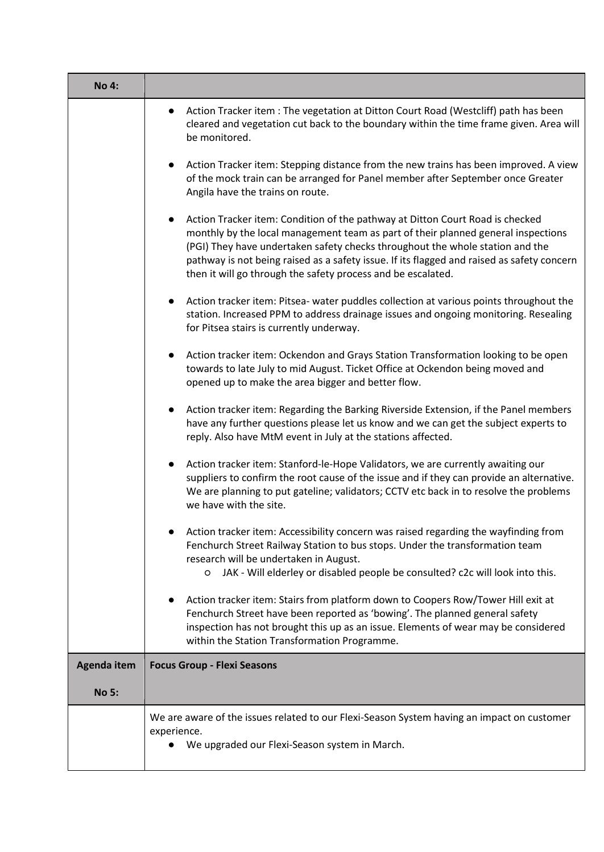| <b>No 4:</b>       |                                                                                                                                                                                                                                                                                                                                                                                                                   |
|--------------------|-------------------------------------------------------------------------------------------------------------------------------------------------------------------------------------------------------------------------------------------------------------------------------------------------------------------------------------------------------------------------------------------------------------------|
|                    | Action Tracker item : The vegetation at Ditton Court Road (Westcliff) path has been<br>cleared and vegetation cut back to the boundary within the time frame given. Area will<br>be monitored.                                                                                                                                                                                                                    |
|                    | Action Tracker item: Stepping distance from the new trains has been improved. A view<br>of the mock train can be arranged for Panel member after September once Greater<br>Angila have the trains on route.                                                                                                                                                                                                       |
|                    | Action Tracker item: Condition of the pathway at Ditton Court Road is checked<br>monthly by the local management team as part of their planned general inspections<br>(PGI) They have undertaken safety checks throughout the whole station and the<br>pathway is not being raised as a safety issue. If its flagged and raised as safety concern<br>then it will go through the safety process and be escalated. |
|                    | Action tracker item: Pitsea- water puddles collection at various points throughout the<br>station. Increased PPM to address drainage issues and ongoing monitoring. Resealing<br>for Pitsea stairs is currently underway.                                                                                                                                                                                         |
|                    | Action tracker item: Ockendon and Grays Station Transformation looking to be open<br>towards to late July to mid August. Ticket Office at Ockendon being moved and<br>opened up to make the area bigger and better flow.                                                                                                                                                                                          |
|                    | Action tracker item: Regarding the Barking Riverside Extension, if the Panel members<br>have any further questions please let us know and we can get the subject experts to<br>reply. Also have MtM event in July at the stations affected.                                                                                                                                                                       |
|                    | Action tracker item: Stanford-le-Hope Validators, we are currently awaiting our<br>suppliers to confirm the root cause of the issue and if they can provide an alternative.<br>We are planning to put gateline; validators; CCTV etc back in to resolve the problems<br>we have with the site.                                                                                                                    |
|                    | Action tracker item: Accessibility concern was raised regarding the wayfinding from<br>Fenchurch Street Railway Station to bus stops. Under the transformation team<br>research will be undertaken in August.<br>JAK - Will elderley or disabled people be consulted? c2c will look into this.<br>$\circ$                                                                                                         |
|                    | Action tracker item: Stairs from platform down to Coopers Row/Tower Hill exit at<br>Fenchurch Street have been reported as 'bowing'. The planned general safety<br>inspection has not brought this up as an issue. Elements of wear may be considered<br>within the Station Transformation Programme.                                                                                                             |
| <b>Agenda item</b> | <b>Focus Group - Flexi Seasons</b>                                                                                                                                                                                                                                                                                                                                                                                |
| <b>No 5:</b>       |                                                                                                                                                                                                                                                                                                                                                                                                                   |
|                    | We are aware of the issues related to our Flexi-Season System having an impact on customer<br>experience.<br>We upgraded our Flexi-Season system in March.                                                                                                                                                                                                                                                        |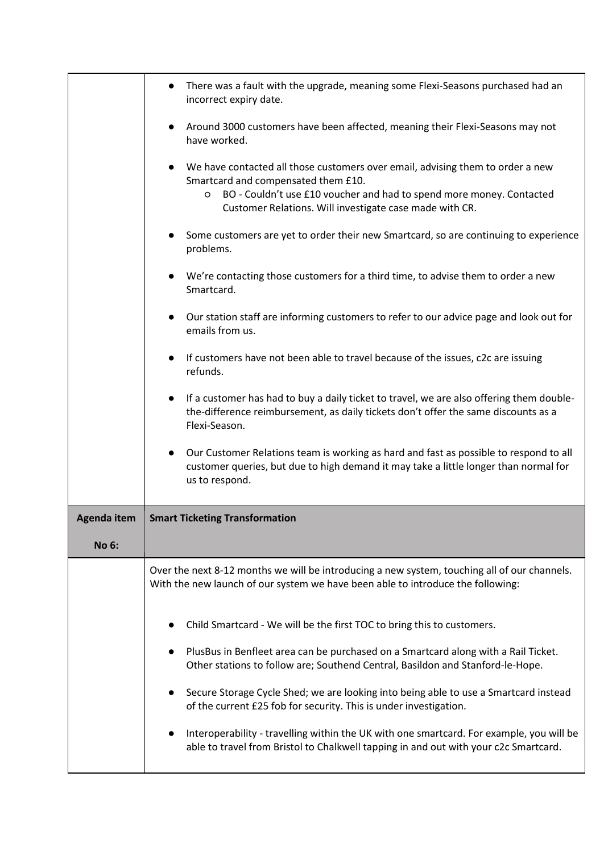|              | There was a fault with the upgrade, meaning some Flexi-Seasons purchased had an<br>incorrect expiry date.                                                                                                                                                     |
|--------------|---------------------------------------------------------------------------------------------------------------------------------------------------------------------------------------------------------------------------------------------------------------|
|              | Around 3000 customers have been affected, meaning their Flexi-Seasons may not<br>have worked.                                                                                                                                                                 |
|              | We have contacted all those customers over email, advising them to order a new<br>Smartcard and compensated them £10.<br>BO - Couldn't use £10 voucher and had to spend more money. Contacted<br>O<br>Customer Relations. Will investigate case made with CR. |
|              | Some customers are yet to order their new Smartcard, so are continuing to experience<br>problems.                                                                                                                                                             |
|              | We're contacting those customers for a third time, to advise them to order a new<br>Smartcard.                                                                                                                                                                |
|              | Our station staff are informing customers to refer to our advice page and look out for<br>emails from us.                                                                                                                                                     |
|              | If customers have not been able to travel because of the issues, c2c are issuing<br>refunds.                                                                                                                                                                  |
|              | If a customer has had to buy a daily ticket to travel, we are also offering them double-<br>the-difference reimbursement, as daily tickets don't offer the same discounts as a<br>Flexi-Season.                                                               |
|              | Our Customer Relations team is working as hard and fast as possible to respond to all<br>customer queries, but due to high demand it may take a little longer than normal for<br>us to respond.                                                               |
| Agenda item  | <b>Smart Ticketing Transformation</b>                                                                                                                                                                                                                         |
| <b>No 6:</b> |                                                                                                                                                                                                                                                               |
|              | Over the next 8-12 months we will be introducing a new system, touching all of our channels.<br>With the new launch of our system we have been able to introduce the following:                                                                               |
|              | Child Smartcard - We will be the first TOC to bring this to customers.                                                                                                                                                                                        |
|              | PlusBus in Benfleet area can be purchased on a Smartcard along with a Rail Ticket.<br>Other stations to follow are; Southend Central, Basildon and Stanford-le-Hope.                                                                                          |
|              | Secure Storage Cycle Shed; we are looking into being able to use a Smartcard instead<br>of the current £25 fob for security. This is under investigation.                                                                                                     |
|              | Interoperability - travelling within the UK with one smartcard. For example, you will be<br>able to travel from Bristol to Chalkwell tapping in and out with your c2c Smartcard.                                                                              |
|              |                                                                                                                                                                                                                                                               |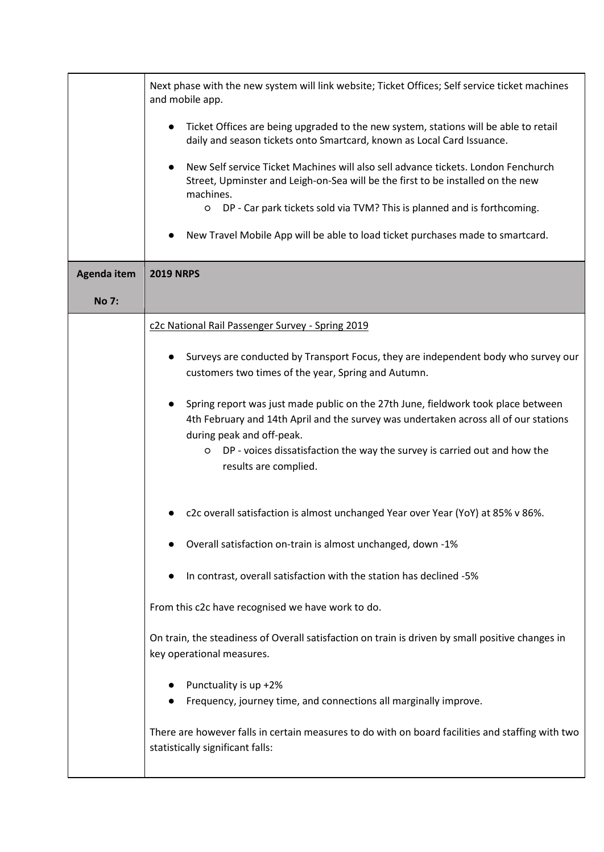|                    | Next phase with the new system will link website; Ticket Offices; Self service ticket machines<br>and mobile app.                                                                                      |
|--------------------|--------------------------------------------------------------------------------------------------------------------------------------------------------------------------------------------------------|
|                    | Ticket Offices are being upgraded to the new system, stations will be able to retail<br>daily and season tickets onto Smartcard, known as Local Card Issuance.                                         |
|                    | New Self service Ticket Machines will also sell advance tickets. London Fenchurch<br>Street, Upminster and Leigh-on-Sea will be the first to be installed on the new<br>machines.                      |
|                    | DP - Car park tickets sold via TVM? This is planned and is forthcoming.<br>$\circ$<br>New Travel Mobile App will be able to load ticket purchases made to smartcard.                                   |
|                    |                                                                                                                                                                                                        |
| <b>Agenda item</b> | <b>2019 NRPS</b>                                                                                                                                                                                       |
| <b>No 7:</b>       |                                                                                                                                                                                                        |
|                    | c2c National Rail Passenger Survey - Spring 2019                                                                                                                                                       |
|                    | Surveys are conducted by Transport Focus, they are independent body who survey our<br>customers two times of the year, Spring and Autumn.                                                              |
|                    | Spring report was just made public on the 27th June, fieldwork took place between<br>4th February and 14th April and the survey was undertaken across all of our stations<br>during peak and off-peak. |
|                    | DP - voices dissatisfaction the way the survey is carried out and how the<br>$\circ$<br>results are complied.                                                                                          |
|                    | c2c overall satisfaction is almost unchanged Year over Year (YoY) at 85% v 86%.                                                                                                                        |
|                    | Overall satisfaction on-train is almost unchanged, down -1%                                                                                                                                            |
|                    | In contrast, overall satisfaction with the station has declined -5%                                                                                                                                    |
|                    | From this c2c have recognised we have work to do.                                                                                                                                                      |
|                    | On train, the steadiness of Overall satisfaction on train is driven by small positive changes in<br>key operational measures.                                                                          |
|                    | Punctuality is up +2%<br>Frequency, journey time, and connections all marginally improve.                                                                                                              |
|                    | There are however falls in certain measures to do with on board facilities and staffing with two<br>statistically significant falls:                                                                   |